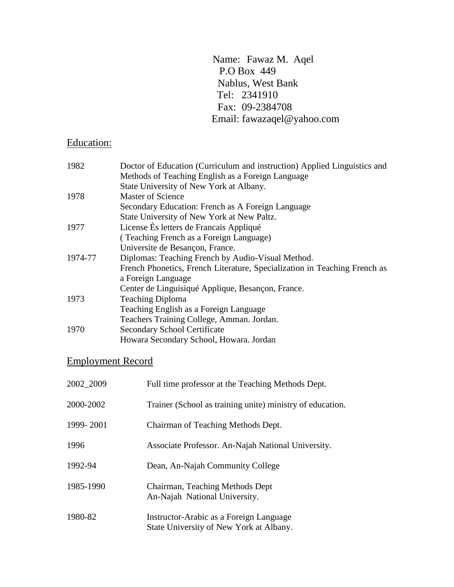Name: Fawaz M. Aqel P.O Box 449 Nablus, West Bank Tel: 2341910 Fax: 09-2384708 Email: fawazaqel@yahoo.com

## Education:

| 1982    | Doctor of Education (Curriculum and instruction) Applied Linguistics and  |
|---------|---------------------------------------------------------------------------|
|         | Methods of Teaching English as a Foreign Language                         |
|         | State University of New York at Albany.                                   |
| 1978    | <b>Master of Science</b>                                                  |
|         | Secondary Education: French as A Foreign Language                         |
|         | State University of New York at New Paltz.                                |
| 1977    | License Es letters de Français Appliqué                                   |
|         | (Teaching French as a Foreign Language)                                   |
|         | Universite de Besançon, France.                                           |
| 1974-77 | Diplomas: Teaching French by Audio-Visual Method.                         |
|         | French Phonetics, French Literature, Specialization in Teaching French as |
|         | a Foreign Language                                                        |
|         | Center de Linguisiqué Applique, Besançon, France.                         |
| 1973    | <b>Teaching Diploma</b>                                                   |
|         | Teaching English as a Foreign Language                                    |
|         | Teachers Training College, Amman. Jordan.                                 |
| 1970    | <b>Secondary School Certificate</b>                                       |
|         | Howara Secondary School, Howara. Jordan                                   |

## Employment Record

| 2002 2009 | Full time professor at the Teaching Methods Dept.                                  |
|-----------|------------------------------------------------------------------------------------|
| 2000-2002 | Trainer (School as training unite) ministry of education.                          |
| 1999-2001 | Chairman of Teaching Methods Dept.                                                 |
| 1996      | Associate Professor. An-Najah National University.                                 |
| 1992-94   | Dean, An-Najah Community College                                                   |
| 1985-1990 | Chairman, Teaching Methods Dept<br>An-Najah National University.                   |
| 1980-82   | Instructor-Arabic as a Foreign Language<br>State University of New York at Albany. |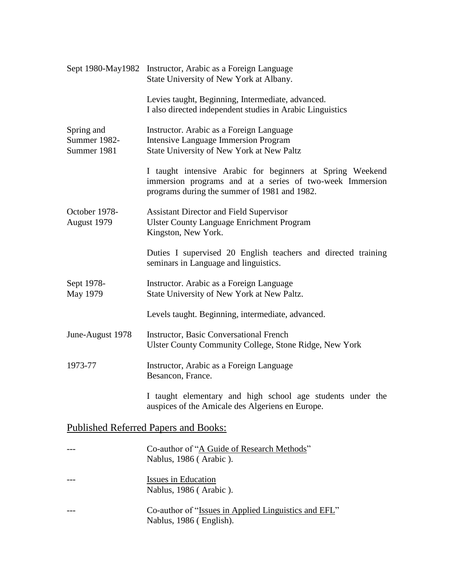|                                           | Sept 1980-May1982 Instructor, Arabic as a Foreign Language<br>State University of New York at Albany.                                                                 |
|-------------------------------------------|-----------------------------------------------------------------------------------------------------------------------------------------------------------------------|
|                                           | Levies taught, Beginning, Intermediate, advanced.<br>I also directed independent studies in Arabic Linguistics                                                        |
| Spring and<br>Summer 1982-<br>Summer 1981 | Instructor. Arabic as a Foreign Language<br><b>Intensive Language Immersion Program</b><br>State University of New York at New Paltz                                  |
|                                           | I taught intensive Arabic for beginners at Spring Weekend<br>immersion programs and at a series of two-week Immersion<br>programs during the summer of 1981 and 1982. |
| October 1978-<br>August 1979              | <b>Assistant Director and Field Supervisor</b><br><b>Ulster County Language Enrichment Program</b><br>Kingston, New York.                                             |
|                                           | Duties I supervised 20 English teachers and directed training<br>seminars in Language and linguistics.                                                                |
| Sept 1978-<br>May 1979                    | Instructor. Arabic as a Foreign Language<br>State University of New York at New Paltz.                                                                                |
|                                           | Levels taught. Beginning, intermediate, advanced.                                                                                                                     |
| June-August 1978                          | <b>Instructor, Basic Conversational French</b><br><b>Ulster County Community College, Stone Ridge, New York</b>                                                       |
| 1973-77                                   | Instructor, Arabic as a Foreign Language<br>Besancon, France.                                                                                                         |
|                                           | I taught elementary and high school age students under the<br>auspices of the Amicale des Algeriens en Europe.                                                        |
|                                           | <b>Published Referred Papers and Books:</b>                                                                                                                           |
|                                           | Co-author of "A Guide of Research Methods"<br>Nablus, 1986 (Arabic).                                                                                                  |
|                                           | <b>Issues in Education</b><br>Nablus, 1986 (Arabic).                                                                                                                  |
|                                           | Co-author of "Issues in Applied Linguistics and EFL"<br>Nablus, 1986 (English).                                                                                       |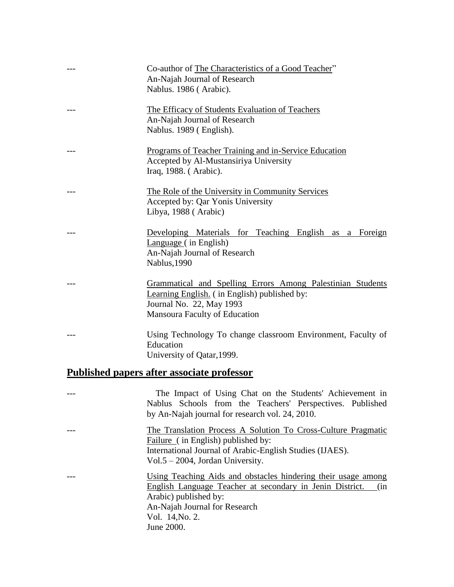| ---                                               | Co-author of The Characteristics of a Good Teacher"<br>An-Najah Journal of Research<br>Nablus. 1986 (Arabic).                                                           |  |
|---------------------------------------------------|-------------------------------------------------------------------------------------------------------------------------------------------------------------------------|--|
| ---                                               | The Efficacy of Students Evaluation of Teachers<br>An-Najah Journal of Research<br>Nablus. 1989 (English).                                                              |  |
|                                                   | <b>Programs of Teacher Training and in-Service Education</b><br>Accepted by Al-Mustansiriya University<br>Iraq, 1988. (Arabic).                                         |  |
|                                                   | The Role of the University in Community Services<br>Accepted by: Qar Yonis University<br>Libya, 1988 (Arabic)                                                           |  |
|                                                   | Developing Materials for Teaching English as a Foreign<br>Language (in English)<br>An-Najah Journal of Research<br>Nablus, 1990                                         |  |
|                                                   | Grammatical and Spelling Errors Among Palestinian Students<br>Learning English. (in English) published by:<br>Journal No. 22, May 1993<br>Mansoura Faculty of Education |  |
|                                                   | Using Technology To change classroom Environment, Faculty of<br>Education<br>University of Qatar, 1999.                                                                 |  |
| <b>Published papers after associate professor</b> |                                                                                                                                                                         |  |

| The Impact of Using Chat on the Students' Achievement in<br>Nablus Schools from the Teachers' Perspectives. Published<br>by An-Najah journal for research vol. 24, 2010.                                                    |
|-----------------------------------------------------------------------------------------------------------------------------------------------------------------------------------------------------------------------------|
| The Translation Process A Solution To Cross-Culture Pragmatic<br>Failure (in English) published by:<br>International Journal of Arabic-English Studies (IJAES).<br>$Vol.5 - 2004$ , Jordan University.                      |
| Using Teaching Aids and obstacles hindering their usage among<br>English Language Teacher at secondary in Jenin District.<br>(in<br>Arabic) published by:<br>An-Najah Journal for Research<br>Vol. 14, No. 2.<br>June 2000. |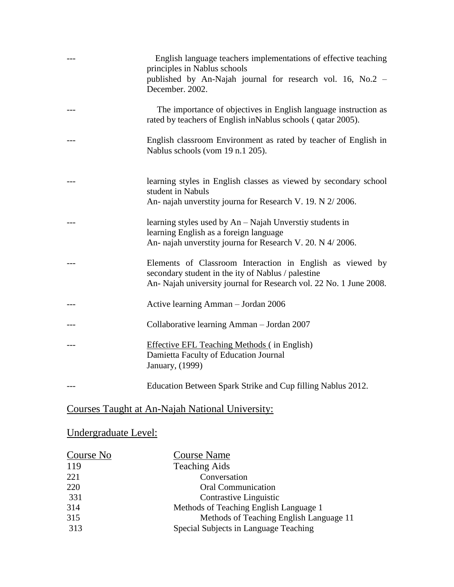| English language teachers implementations of effective teaching<br>principles in Nablus schools<br>published by An-Najah journal for research vol. 16, No.2 -<br>December. 2002.      |
|---------------------------------------------------------------------------------------------------------------------------------------------------------------------------------------|
| The importance of objectives in English language instruction as<br>rated by teachers of English in Nablus schools (qatar 2005).                                                       |
| English classroom Environment as rated by teacher of English in<br>Nablus schools (vom 19 n.1 205).                                                                                   |
| learning styles in English classes as viewed by secondary school<br>student in Nabuls<br>An- najah unverstity journa for Research V. 19. N 2/2006.                                    |
| learning styles used by An – Najah Unverstiy students in<br>learning English as a foreign language<br>An- najah unverstity journa for Research V. 20. N 4/2006.                       |
| Elements of Classroom Interaction in English as viewed by<br>secondary student in the ity of Nablus / palestine<br>An- Najah university journal for Research vol. 22 No. 1 June 2008. |
| Active learning Amman - Jordan 2006                                                                                                                                                   |
| Collaborative learning Amman - Jordan 2007                                                                                                                                            |
| Effective EFL Teaching Methods (in English)<br>Damietta Faculty of Education Journal<br>January, (1999)                                                                               |
| Education Between Spark Strike and Cup filling Nablus 2012.                                                                                                                           |

# Courses Taught at An-Najah National University:

# Undergraduate Level:

| Course No | <b>Course Name</b>                      |
|-----------|-----------------------------------------|
| 119       | <b>Teaching Aids</b>                    |
| 221       | Conversation                            |
| 220       | <b>Oral Communication</b>               |
| 331       | Contrastive Linguistic                  |
| 314       | Methods of Teaching English Language 1  |
| 315       | Methods of Teaching English Language 11 |
| 313       | Special Subjects in Language Teaching   |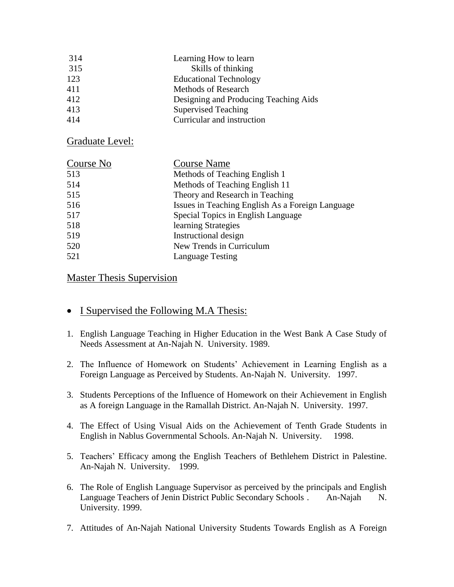| 314 | Learning How to learn                 |
|-----|---------------------------------------|
| 315 | Skills of thinking                    |
| 123 | <b>Educational Technology</b>         |
| 411 | <b>Methods of Research</b>            |
| 412 | Designing and Producing Teaching Aids |
| 413 | <b>Supervised Teaching</b>            |
| 414 | Curricular and instruction            |

#### Graduate Level:

| Course No | <b>Course Name</b>                               |
|-----------|--------------------------------------------------|
| 513       | Methods of Teaching English 1                    |
| 514       | Methods of Teaching English 11                   |
| 515       | Theory and Research in Teaching                  |
| 516       | Issues in Teaching English As a Foreign Language |
| 517       | Special Topics in English Language               |
| 518       | learning Strategies                              |
| 519       | Instructional design                             |
| 520       | New Trends in Curriculum                         |
| 521       | <b>Language Testing</b>                          |

#### Master Thesis Supervision

- I Supervised the Following M.A Thesis:
- 1. English Language Teaching in Higher Education in the West Bank A Case Study of Needs Assessment at An-Najah N. University. 1989.
- 2. The Influence of Homework on Students' Achievement in Learning English as a Foreign Language as Perceived by Students. An-Najah N. University. 1997.
- 3. Students Perceptions of the Influence of Homework on their Achievement in English as A foreign Language in the Ramallah District. An-Najah N. University. 1997.
- 4. The Effect of Using Visual Aids on the Achievement of Tenth Grade Students in English in Nablus Governmental Schools. An-Najah N. University. 1998.
- 5. Teachers' Efficacy among the English Teachers of Bethlehem District in Palestine. An-Najah N. University. 1999.
- 6. The Role of English Language Supervisor as perceived by the principals and English Language Teachers of Jenin District Public Secondary Schools . An-Najah N. University. 1999.
- 7. Attitudes of An-Najah National University Students Towards English as A Foreign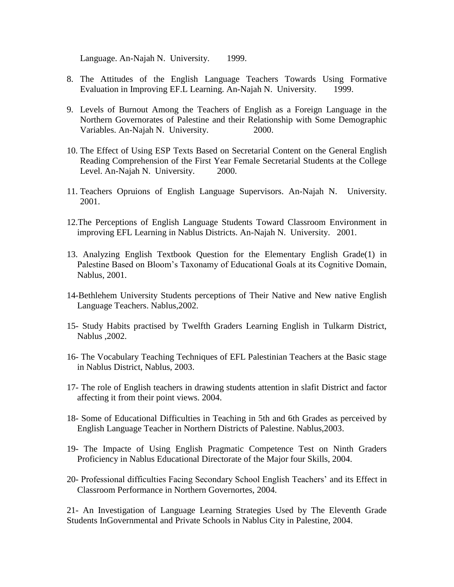Language. An-Najah N. University. 1999.

- 8. The Attitudes of the English Language Teachers Towards Using Formative Evaluation in Improving EF.L Learning. An-Najah N. University. 1999.
- 9. Levels of Burnout Among the Teachers of English as a Foreign Language in the Northern Governorates of Palestine and their Relationship with Some Demographic Variables. An-Najah N. University. 2000.
- 10. The Effect of Using ESP Texts Based on Secretarial Content on the General English Reading Comprehension of the First Year Female Secretarial Students at the College Level. An-Najah N. University. 2000.
- 11. Teachers Opruions of English Language Supervisors. An-Najah N. University. 2001.
- 12.The Perceptions of English Language Students Toward Classroom Environment in improving EFL Learning in Nablus Districts. An-Najah N. University. 2001.
- 13. Analyzing English Textbook Question for the Elementary English Grade(1) in Palestine Based on Bloom's Taxonamy of Educational Goals at its Cognitive Domain, Nablus, 2001.
- 14-Bethlehem University Students perceptions of Their Native and New native English Language Teachers. Nablus,2002.
- 15- Study Habits practised by Twelfth Graders Learning English in Tulkarm District, Nablus ,2002.
- 16- The Vocabulary Teaching Techniques of EFL Palestinian Teachers at the Basic stage in Nablus District, Nablus, 2003.
- 17- The role of English teachers in drawing students attention in slafit District and factor affecting it from their point views. 2004.
- 18- Some of Educational Difficulties in Teaching in 5th and 6th Grades as perceived by English Language Teacher in Northern Districts of Palestine. Nablus,2003.
- 19- The Impacte of Using English Pragmatic Competence Test on Ninth Graders Proficiency in Nablus Educational Directorate of the Major four Skills, 2004.
- 20- Professional difficulties Facing Secondary School English Teachers' and its Effect in Classroom Performance in Northern Governortes, 2004.

21- An Investigation of Language Learning Strategies Used by The Eleventh Grade Students InGovernmental and Private Schools in Nablus City in Palestine, 2004.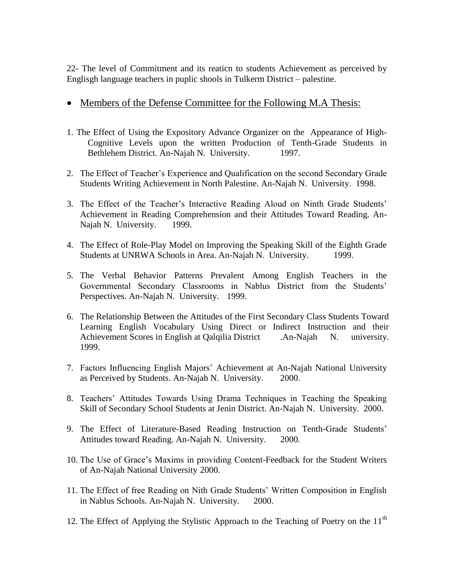22- The level of Commitment and its reaticn to students Achievement as perceived by Englisgh language teachers in puplic shools in Tulkerm District – palestine.

## • Members of the Defense Committee for the Following M.A Thesis:

- 1. The Effect of Using the Expository Advance Organizer on the Appearance of High-Cognitive Levels upon the written Production of Tenth-Grade Students in Bethlehem District. An-Najah N. University. 1997.
- 2. The Effect of Teacher's Experience and Qualification on the second Secondary Grade Students Writing Achievement in North Palestine. An-Najah N. University. 1998.
- 3. The Effect of the Teacher's Interactive Reading Aloud on Ninth Grade Students' Achievement in Reading Comprehension and their Attitudes Toward Reading. An-Najah N. University. 1999.
- 4. The Effect of Role-Play Model on Improving the Speaking Skill of the Eighth Grade Students at UNRWA Schools in Area. An-Najah N. University. 1999.
- 5. The Verbal Behavior Patterns Prevalent Among English Teachers in the Governmental Secondary Classrooms in Nablus District from the Students' Perspectives. An-Najah N. University. 1999.
- 6. The Relationship Between the Attitudes of the First Secondary Class Students Toward Learning English Vocabulary Using Direct or Indirect Instruction and their Achievement Scores in English at Qalqilia District .An-Najah N. university. 1999.
- 7. Factors Influencing English Majors' Achievement at An-Najah National University as Perceived by Students. An-Najah N. University. 2000.
- 8. Teachers' Attitudes Towards Using Drama Techniques in Teaching the Speaking Skill of Secondary School Students at Jenin District. An-Najah N. University. 2000.
- 9. The Effect of Literature-Based Reading Instruction on Tenth-Grade Students' Attitudes toward Reading. An-Najah N. University. 2000.
- 10. The Use of Grace's Maxims in providing Content-Feedback for the Student Writers of An-Najah National University 2000.
- 11. The Effect of free Reading on Nith Grade Students' Written Composition in English in Nablus Schools. An-Najah N. University. 2000.
- 12. The Effect of Applying the Stylistic Approach to the Teaching of Poetry on the  $11<sup>th</sup>$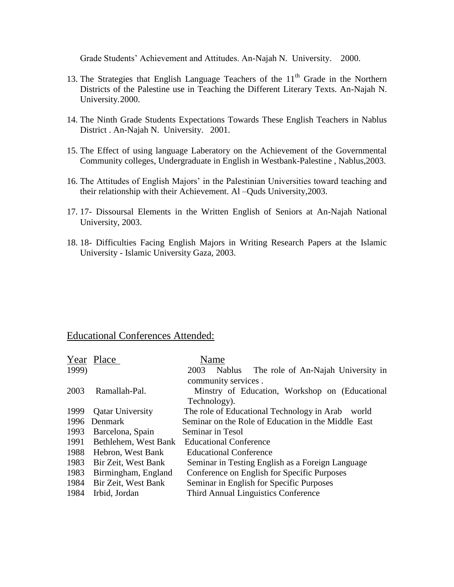Grade Students' Achievement and Attitudes. An-Najah N. University. 2000.

- 13. The Strategies that English Language Teachers of the  $11<sup>th</sup>$  Grade in the Northern Districts of the Palestine use in Teaching the Different Literary Texts. An-Najah N. University.2000.
- 14. The Ninth Grade Students Expectations Towards These English Teachers in Nablus District . An-Najah N. University. 2001.
- 15. The Effect of using language Laberatory on the Achievement of the Governmental Community colleges, Undergraduate in English in Westbank-Palestine , Nablus,2003.
- 16. The Attitudes of English Majors' in the Palestinian Universities toward teaching and their relationship with their Achievement. Al –Quds University,2003.
- 17. 17- Dissoursal Elements in the Written English of Seniors at An-Najah National University, 2003.
- 18. 18- Difficulties Facing English Majors in Writing Research Papers at the Islamic University - Islamic University Gaza, 2003.

### Educational Conferences Attended:

|       | Year Place              | Name                                                        |
|-------|-------------------------|-------------------------------------------------------------|
| 1999) |                         | The role of An-Najah University in<br>2003<br><b>Nablus</b> |
|       |                         | community services.                                         |
| 2003  | Ramallah-Pal.           | Minstry of Education, Workshop on (Educational              |
|       |                         | Technology).                                                |
| 1999  | <b>Qatar University</b> | The role of Educational Technology in Arab<br>world         |
| 1996  | Denmark                 | Seminar on the Role of Education in the Middle East         |
| 1993  | Barcelona, Spain        | Seminar in Tesol                                            |
| 1991  | Bethlehem, West Bank    | <b>Educational Conference</b>                               |
|       | 1988 Hebron, West Bank  | <b>Educational Conference</b>                               |
| 1983  | Bir Zeit, West Bank     | Seminar in Testing English as a Foreign Language            |
| 1983  | Birmingham, England     | Conference on English for Specific Purposes                 |
| 1984  | Bir Zeit, West Bank     | Seminar in English for Specific Purposes                    |
| 1984  | Irbid, Jordan           | Third Annual Linguistics Conference                         |